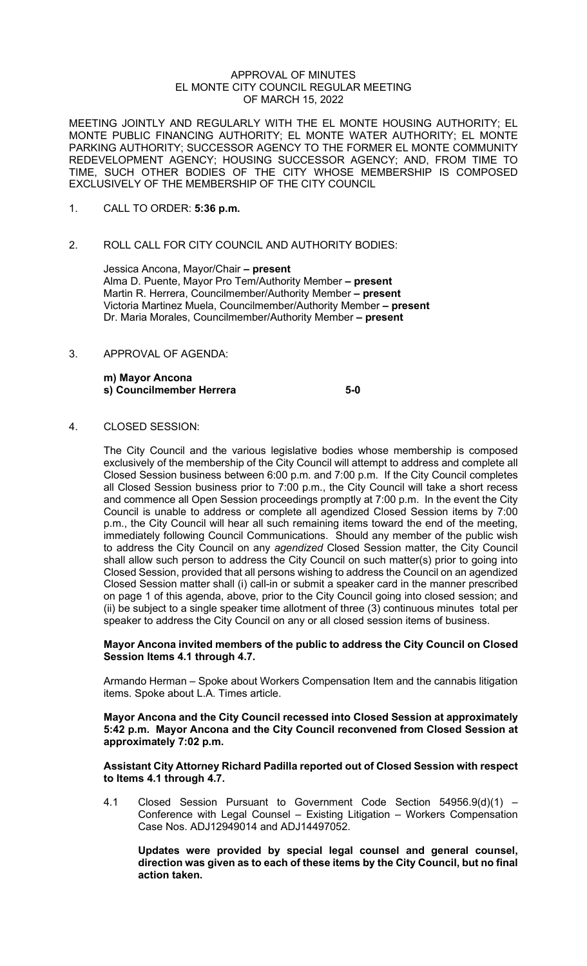#### APPROVAL OF MINUTES EL MONTE CITY COUNCIL REGULAR MEETING OF MARCH 15, 2022

MEETING JOINTLY AND REGULARLY WITH THE EL MONTE HOUSING AUTHORITY; EL MONTE PUBLIC FINANCING AUTHORITY; EL MONTE WATER AUTHORITY; EL MONTE PARKING AUTHORITY; SUCCESSOR AGENCY TO THE FORMER EL MONTE COMMUNITY REDEVELOPMENT AGENCY; HOUSING SUCCESSOR AGENCY; AND, FROM TIME TO TIME, SUCH OTHER BODIES OF THE CITY WHOSE MEMBERSHIP IS COMPOSED EXCLUSIVELY OF THE MEMBERSHIP OF THE CITY COUNCIL

- 1. CALL TO ORDER: **5:36 p.m.**
- 2. ROLL CALL FOR CITY COUNCIL AND AUTHORITY BODIES:

Jessica Ancona, Mayor/Chair **– present**  Alma D. Puente, Mayor Pro Tem/Authority Member **– present** Martin R. Herrera, Councilmember/Authority Member **– present** Victoria Martinez Muela, Councilmember/Authority Member **– present** Dr. Maria Morales, Councilmember/Authority Member **– present**

3. APPROVAL OF AGENDA:

**m) Mayor Ancona s) Councilmember Herrera 5-0** 

4. CLOSED SESSION:

The City Council and the various legislative bodies whose membership is composed exclusively of the membership of the City Council will attempt to address and complete all Closed Session business between 6:00 p.m. and 7:00 p.m. If the City Council completes all Closed Session business prior to 7:00 p.m., the City Council will take a short recess and commence all Open Session proceedings promptly at 7:00 p.m. In the event the City Council is unable to address or complete all agendized Closed Session items by 7:00 p.m., the City Council will hear all such remaining items toward the end of the meeting, immediately following Council Communications. Should any member of the public wish to address the City Council on any *agendized* Closed Session matter, the City Council shall allow such person to address the City Council on such matter(s) prior to going into Closed Session, provided that all persons wishing to address the Council on an agendized Closed Session matter shall (i) call-in or submit a speaker card in the manner prescribed on page 1 of this agenda, above, prior to the City Council going into closed session; and (ii) be subject to a single speaker time allotment of three (3) continuous minutes total per speaker to address the City Council on any or all closed session items of business.

## **Mayor Ancona invited members of the public to address the City Council on Closed Session Items 4.1 through 4.7.**

Armando Herman – Spoke about Workers Compensation Item and the cannabis litigation items. Spoke about L.A. Times article.

### **Mayor Ancona and the City Council recessed into Closed Session at approximately 5:42 p.m. Mayor Ancona and the City Council reconvened from Closed Session at approximately 7:02 p.m.**

## **Assistant City Attorney Richard Padilla reported out of Closed Session with respect to Items 4.1 through 4.7.**

4.1 Closed Session Pursuant to Government Code Section 54956.9(d)(1) – Conference with Legal Counsel – Existing Litigation – Workers Compensation Case Nos. ADJ12949014 and ADJ14497052.

**Updates were provided by special legal counsel and general counsel, direction was given as to each of these items by the City Council, but no final action taken.**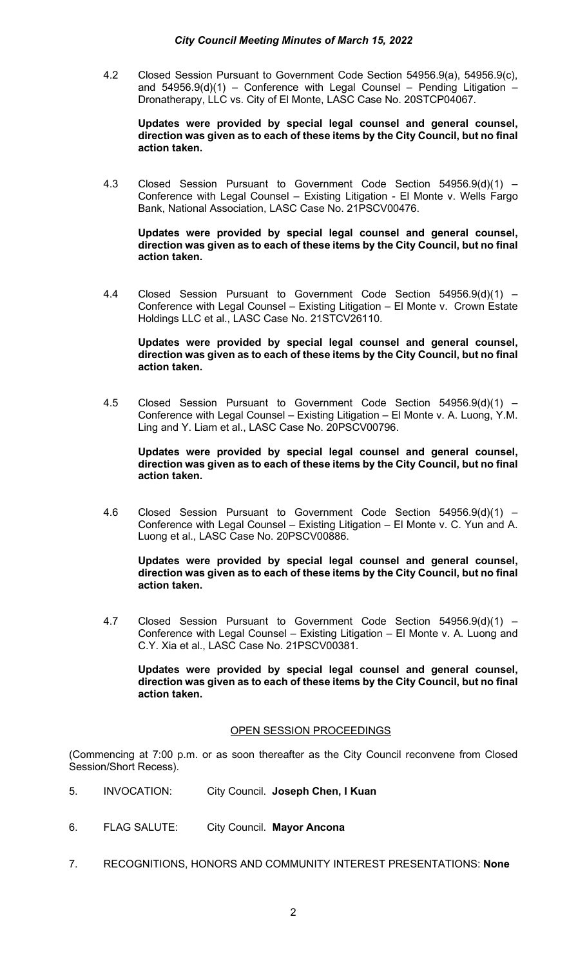4.2 Closed Session Pursuant to Government Code Section 54956.9(a), 54956.9(c), and  $54956.9(d)(1)$  – Conference with Legal Counsel – Pending Litigation Dronatherapy, LLC vs. City of El Monte, LASC Case No. 20STCP04067.

**Updates were provided by special legal counsel and general counsel, direction was given as to each of these items by the City Council, but no final action taken.** 

4.3 Closed Session Pursuant to Government Code Section 54956.9(d)(1) – Conference with Legal Counsel – Existing Litigation - El Monte v. Wells Fargo Bank, National Association, LASC Case No. 21PSCV00476.

**Updates were provided by special legal counsel and general counsel, direction was given as to each of these items by the City Council, but no final action taken.** 

4.4 Closed Session Pursuant to Government Code Section 54956.9(d)(1) – Conference with Legal Counsel – Existing Litigation – El Monte v. Crown Estate Holdings LLC et al., LASC Case No. 21STCV26110.

**Updates were provided by special legal counsel and general counsel, direction was given as to each of these items by the City Council, but no final action taken.** 

4.5 Closed Session Pursuant to Government Code Section 54956.9(d)(1) – Conference with Legal Counsel – Existing Litigation – El Monte v. A. Luong, Y.M. Ling and Y. Liam et al., LASC Case No. 20PSCV00796.

**Updates were provided by special legal counsel and general counsel, direction was given as to each of these items by the City Council, but no final action taken.** 

4.6 Closed Session Pursuant to Government Code Section 54956.9(d)(1) – Conference with Legal Counsel – Existing Litigation – El Monte v. C. Yun and A. Luong et al., LASC Case No. 20PSCV00886.

**Updates were provided by special legal counsel and general counsel, direction was given as to each of these items by the City Council, but no final action taken.** 

4.7 Closed Session Pursuant to Government Code Section 54956.9(d)(1) – Conference with Legal Counsel – Existing Litigation – El Monte v. A. Luong and C.Y. Xia et al., LASC Case No. 21PSCV00381.

**Updates were provided by special legal counsel and general counsel, direction was given as to each of these items by the City Council, but no final action taken.** 

# OPEN SESSION PROCEEDINGS

(Commencing at 7:00 p.m. or as soon thereafter as the City Council reconvene from Closed Session/Short Recess).

- 5. INVOCATION: City Council. **Joseph Chen, I Kuan**
- 6. FLAG SALUTE: City Council. **Mayor Ancona**
- 7. RECOGNITIONS, HONORS AND COMMUNITY INTEREST PRESENTATIONS: **None**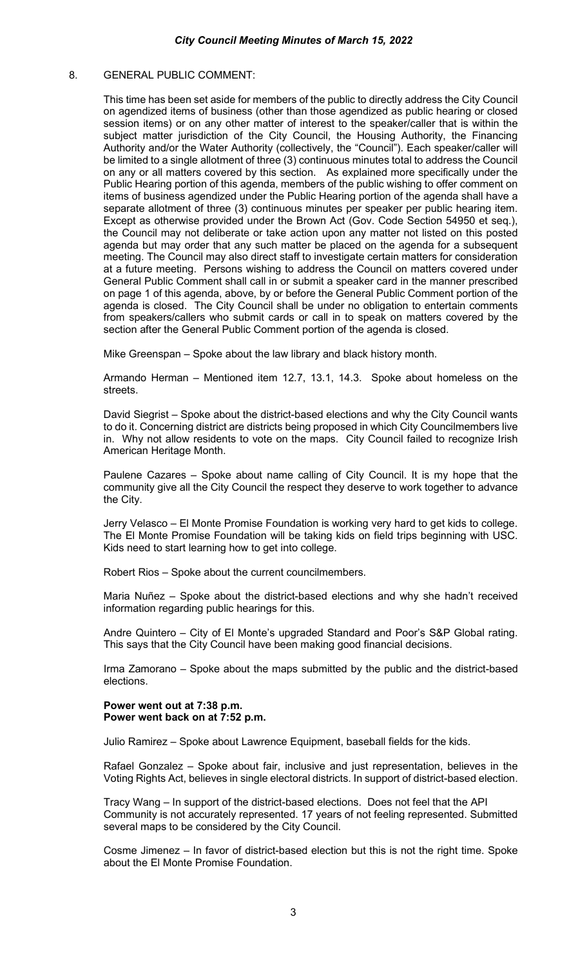## 8. GENERAL PUBLIC COMMENT:

This time has been set aside for members of the public to directly address the City Council on agendized items of business (other than those agendized as public hearing or closed session items) or on any other matter of interest to the speaker/caller that is within the subject matter jurisdiction of the City Council, the Housing Authority, the Financing Authority and/or the Water Authority (collectively, the "Council"). Each speaker/caller will be limited to a single allotment of three (3) continuous minutes total to address the Council on any or all matters covered by this section. As explained more specifically under the Public Hearing portion of this agenda, members of the public wishing to offer comment on items of business agendized under the Public Hearing portion of the agenda shall have a separate allotment of three (3) continuous minutes per speaker per public hearing item. Except as otherwise provided under the Brown Act (Gov. Code Section 54950 et seq.), the Council may not deliberate or take action upon any matter not listed on this posted agenda but may order that any such matter be placed on the agenda for a subsequent meeting. The Council may also direct staff to investigate certain matters for consideration at a future meeting. Persons wishing to address the Council on matters covered under General Public Comment shall call in or submit a speaker card in the manner prescribed on page 1 of this agenda, above, by or before the General Public Comment portion of the agenda is closed. The City Council shall be under no obligation to entertain comments from speakers/callers who submit cards or call in to speak on matters covered by the section after the General Public Comment portion of the agenda is closed.

Mike Greenspan – Spoke about the law library and black history month.

Armando Herman – Mentioned item 12.7, 13.1, 14.3. Spoke about homeless on the streets.

David Siegrist – Spoke about the district-based elections and why the City Council wants to do it. Concerning district are districts being proposed in which City Councilmembers live in. Why not allow residents to vote on the maps. City Council failed to recognize Irish American Heritage Month.

Paulene Cazares – Spoke about name calling of City Council. It is my hope that the community give all the City Council the respect they deserve to work together to advance the City.

Jerry Velasco – El Monte Promise Foundation is working very hard to get kids to college. The El Monte Promise Foundation will be taking kids on field trips beginning with USC. Kids need to start learning how to get into college.

Robert Rios – Spoke about the current councilmembers.

Maria Nuñez – Spoke about the district-based elections and why she hadn't received information regarding public hearings for this.

Andre Quintero – City of El Monte's upgraded Standard and Poor's S&P Global rating. This says that the City Council have been making good financial decisions.

Irma Zamorano – Spoke about the maps submitted by the public and the district-based elections.

**Power went out at 7:38 p.m. Power went back on at 7:52 p.m.** 

Julio Ramirez – Spoke about Lawrence Equipment, baseball fields for the kids.

Rafael Gonzalez – Spoke about fair, inclusive and just representation, believes in the Voting Rights Act, believes in single electoral districts. In support of district-based election.

Tracy Wang – In support of the district-based elections. Does not feel that the API Community is not accurately represented. 17 years of not feeling represented. Submitted several maps to be considered by the City Council.

Cosme Jimenez – In favor of district-based election but this is not the right time. Spoke about the El Monte Promise Foundation.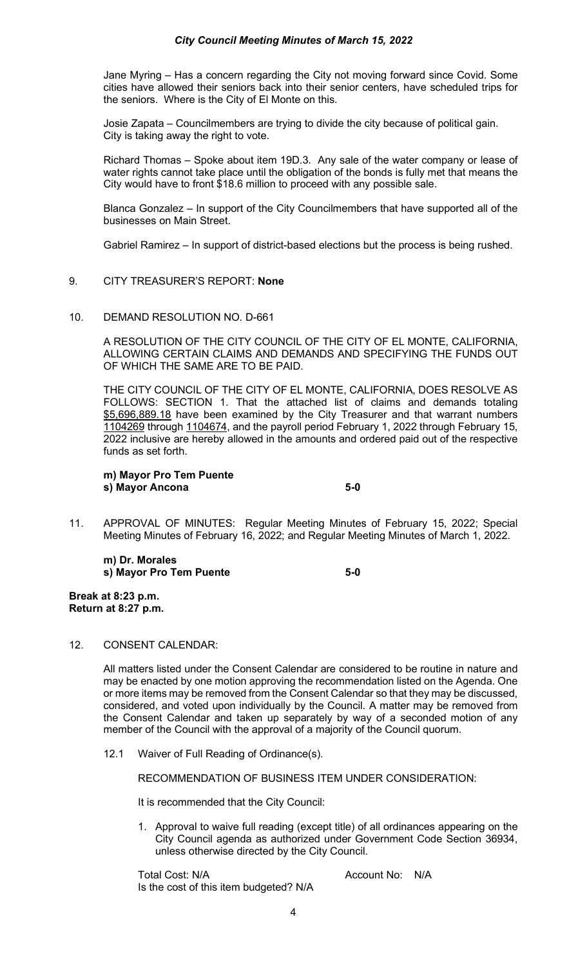Jane Myring – Has a concern regarding the City not moving forward since Covid. Some cities have allowed their seniors back into their senior centers, have scheduled trips for the seniors. Where is the City of El Monte on this.

Josie Zapata – Councilmembers are trying to divide the city because of political gain. City is taking away the right to vote.

Richard Thomas – Spoke about item 19D.3. Any sale of the water company or lease of water rights cannot take place until the obligation of the bonds is fully met that means the City would have to front \$18.6 million to proceed with any possible sale.

Blanca Gonzalez – In support of the City Councilmembers that have supported all of the businesses on Main Street.

Gabriel Ramirez – In support of district-based elections but the process is being rushed.

## 9. CITY TREASURER'S REPORT: **None**

## 10. DEMAND RESOLUTION NO. D-661

A RESOLUTION OF THE CITY COUNCIL OF THE CITY OF EL MONTE, CALIFORNIA, ALLOWING CERTAIN CLAIMS AND DEMANDS AND SPECIFYING THE FUNDS OUT OF WHICH THE SAME ARE TO BE PAID.

THE CITY COUNCIL OF THE CITY OF EL MONTE, CALIFORNIA, DOES RESOLVE AS FOLLOWS: SECTION 1. That the attached list of claims and demands totaling \$5,696,889.18 have been examined by the City Treasurer and that warrant numbers 1104269 through 1104674, and the payroll period February 1, 2022 through February 15, 2022 inclusive are hereby allowed in the amounts and ordered paid out of the respective funds as set forth.

**m) Mayor Pro Tem Puente s) Mayor Ancona 5-0** 

11. APPROVAL OF MINUTES: Regular Meeting Minutes of February 15, 2022; Special Meeting Minutes of February 16, 2022; and Regular Meeting Minutes of March 1, 2022.

**m) Dr. Morales s) Mayor Pro Tem Puente 5-0** 

**Break at 8:23 p.m. Return at 8:27 p.m.** 

#### 12. CONSENT CALENDAR:

All matters listed under the Consent Calendar are considered to be routine in nature and may be enacted by one motion approving the recommendation listed on the Agenda. One or more items may be removed from the Consent Calendar so that they may be discussed, considered, and voted upon individually by the Council. A matter may be removed from the Consent Calendar and taken up separately by way of a seconded motion of any member of the Council with the approval of a majority of the Council quorum.

12.1 Waiver of Full Reading of Ordinance(s).

RECOMMENDATION OF BUSINESS ITEM UNDER CONSIDERATION:

It is recommended that the City Council:

1. Approval to waive full reading (except title) of all ordinances appearing on the City Council agenda as authorized under Government Code Section 36934, unless otherwise directed by the City Council.

Total Cost: N/A Account No: N/A Is the cost of this item budgeted? N/A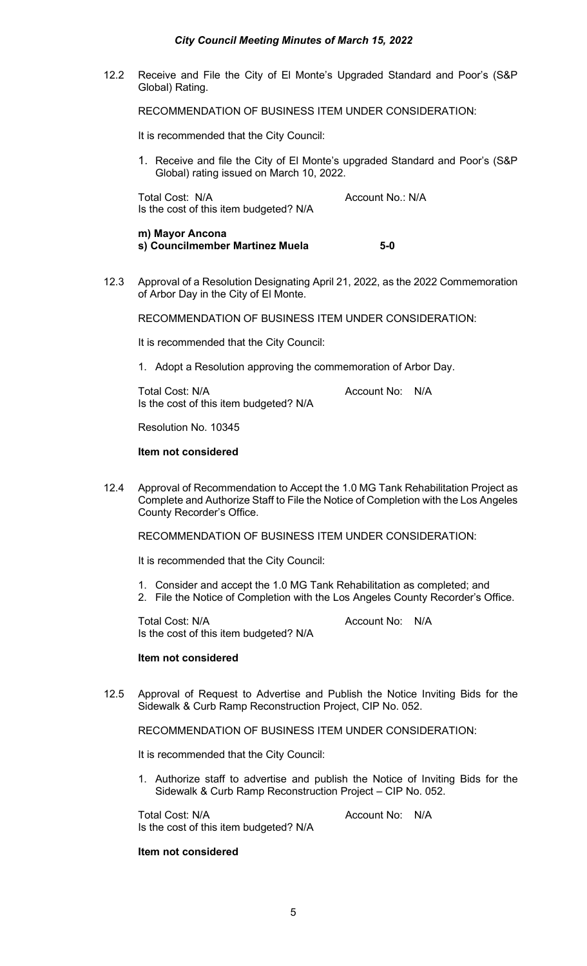# *City Council Meeting Minutes of March 15, 2022*

12.2 Receive and File the City of El Monte's Upgraded Standard and Poor's (S&P Global) Rating.

RECOMMENDATION OF BUSINESS ITEM UNDER CONSIDERATION:

It is recommended that the City Council:

1. Receive and file the City of El Monte's upgraded Standard and Poor's (S&P Global) rating issued on March 10, 2022.

Total Cost: N/A Account No.: N/A Is the cost of this item budgeted? N/A

- **m) Mayor Ancona s) Councilmember Martinez Muela 5-0**
- 12.3 Approval of a Resolution Designating April 21, 2022, as the 2022 Commemoration of Arbor Day in the City of El Monte.

RECOMMENDATION OF BUSINESS ITEM UNDER CONSIDERATION:

It is recommended that the City Council:

1. Adopt a Resolution approving the commemoration of Arbor Day.

Total Cost: N/A and Cost: N/A Account No: N/A Is the cost of this item budgeted? N/A

Resolution No. 10345

## **Item not considered**

12.4 Approval of Recommendation to Accept the 1.0 MG Tank Rehabilitation Project as Complete and Authorize Staff to File the Notice of Completion with the Los Angeles County Recorder's Office.

RECOMMENDATION OF BUSINESS ITEM UNDER CONSIDERATION:

It is recommended that the City Council:

- 1. Consider and accept the 1.0 MG Tank Rehabilitation as completed; and
- 2. File the Notice of Completion with the Los Angeles County Recorder's Office.

Total Cost: N/A and Total Cost: N/A Is the cost of this item budgeted? N/A

#### **Item not considered**

12.5 Approval of Request to Advertise and Publish the Notice Inviting Bids for the Sidewalk & Curb Ramp Reconstruction Project, CIP No. 052.

RECOMMENDATION OF BUSINESS ITEM UNDER CONSIDERATION:

It is recommended that the City Council:

1. Authorize staff to advertise and publish the Notice of Inviting Bids for the Sidewalk & Curb Ramp Reconstruction Project – CIP No. 052.

Total Cost: N/A and Cost: N/A account No: N/A Is the cost of this item budgeted? N/A

#### **Item not considered**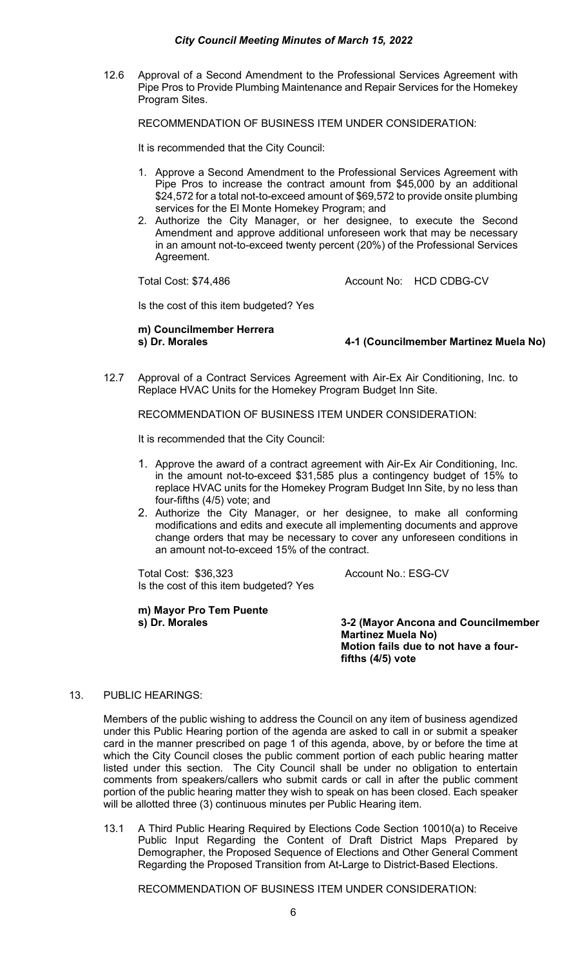# *City Council Meeting Minutes of March 15, 2022*

12.6 Approval of a Second Amendment to the Professional Services Agreement with Pipe Pros to Provide Plumbing Maintenance and Repair Services for the Homekey Program Sites.

RECOMMENDATION OF BUSINESS ITEM UNDER CONSIDERATION:

It is recommended that the City Council:

- 1. Approve a Second Amendment to the Professional Services Agreement with Pipe Pros to increase the contract amount from \$45,000 by an additional \$24,572 for a total not-to-exceed amount of \$69,572 to provide onsite plumbing services for the El Monte Homekey Program; and
- 2. Authorize the City Manager, or her designee, to execute the Second Amendment and approve additional unforeseen work that may be necessary in an amount not-to-exceed twenty percent (20%) of the Professional Services Agreement.

Total Cost: \$74,486 Account No: HCD CDBG-CV

Is the cost of this item budgeted? Yes

**m) Councilmember Herrera**

**s) Dr. Morales 4-1 (Councilmember Martinez Muela No)**

12.7 Approval of a Contract Services Agreement with Air-Ex Air Conditioning, Inc. to Replace HVAC Units for the Homekey Program Budget Inn Site.

RECOMMENDATION OF BUSINESS ITEM UNDER CONSIDERATION:

It is recommended that the City Council:

- 1. Approve the award of a contract agreement with Air-Ex Air Conditioning, Inc. in the amount not-to-exceed \$31,585 plus a contingency budget of 15% to replace HVAC units for the Homekey Program Budget Inn Site, by no less than four-fifths (4/5) vote; and
- 2. Authorize the City Manager, or her designee, to make all conforming modifications and edits and execute all implementing documents and approve change orders that may be necessary to cover any unforeseen conditions in an amount not-to-exceed 15% of the contract.

Total Cost: \$36,323 Account No.: ESG-CV Is the cost of this item budgeted? Yes

**m) Mayor Pro Tem Puente**

**3-2 (Mayor Ancona and Councilmember Martinez Muela No) Motion fails due to not have a fourfifths (4/5) vote**

# 13. PUBLIC HEARINGS:

Members of the public wishing to address the Council on any item of business agendized under this Public Hearing portion of the agenda are asked to call in or submit a speaker card in the manner prescribed on page 1 of this agenda, above, by or before the time at which the City Council closes the public comment portion of each public hearing matter listed under this section. The City Council shall be under no obligation to entertain comments from speakers/callers who submit cards or call in after the public comment portion of the public hearing matter they wish to speak on has been closed. Each speaker will be allotted three (3) continuous minutes per Public Hearing item.

13.1 A Third Public Hearing Required by Elections Code Section 10010(a) to Receive Public Input Regarding the Content of Draft District Maps Prepared by Demographer, the Proposed Sequence of Elections and Other General Comment Regarding the Proposed Transition from At-Large to District-Based Elections.

RECOMMENDATION OF BUSINESS ITEM UNDER CONSIDERATION: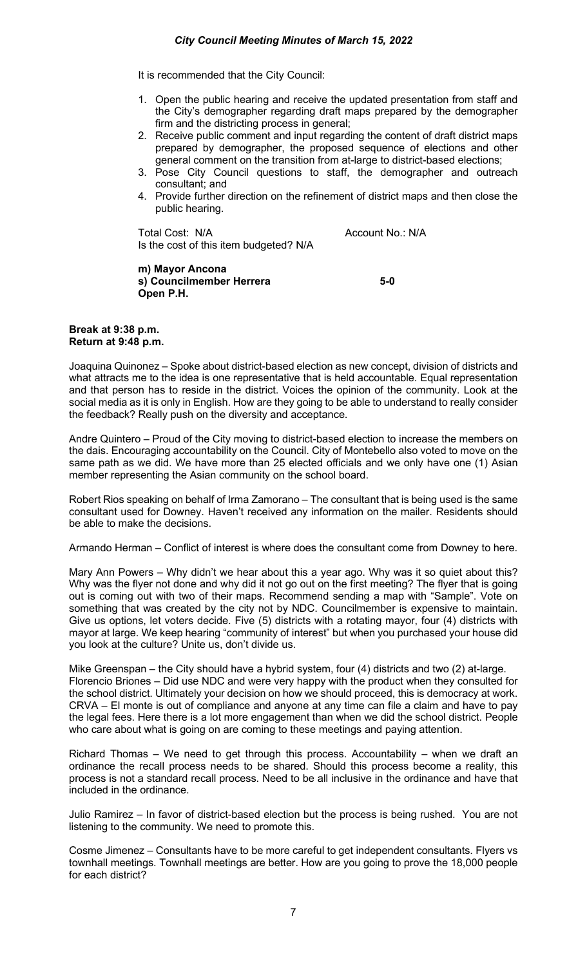It is recommended that the City Council:

- 1. Open the public hearing and receive the updated presentation from staff and the City's demographer regarding draft maps prepared by the demographer firm and the districting process in general;
- 2. Receive public comment and input regarding the content of draft district maps prepared by demographer, the proposed sequence of elections and other general comment on the transition from at-large to district-based elections;
- 3. Pose City Council questions to staff, the demographer and outreach consultant; and
- 4. Provide further direction on the refinement of district maps and then close the public hearing.

Total Cost: N/A Account No.: N/A Is the cost of this item budgeted? N/A

**m) Mayor Ancona s) Councilmember Herrera 5-0 Open P.H.**

#### **Break at 9:38 p.m. Return at 9:48 p.m.**

Joaquina Quinonez – Spoke about district-based election as new concept, division of districts and what attracts me to the idea is one representative that is held accountable. Equal representation and that person has to reside in the district. Voices the opinion of the community. Look at the social media as it is only in English. How are they going to be able to understand to really consider the feedback? Really push on the diversity and acceptance.

Andre Quintero – Proud of the City moving to district-based election to increase the members on the dais. Encouraging accountability on the Council. City of Montebello also voted to move on the same path as we did. We have more than 25 elected officials and we only have one (1) Asian member representing the Asian community on the school board.

Robert Rios speaking on behalf of Irma Zamorano – The consultant that is being used is the same consultant used for Downey. Haven't received any information on the mailer. Residents should be able to make the decisions.

Armando Herman – Conflict of interest is where does the consultant come from Downey to here.

Mary Ann Powers – Why didn't we hear about this a year ago. Why was it so quiet about this? Why was the flyer not done and why did it not go out on the first meeting? The flyer that is going out is coming out with two of their maps. Recommend sending a map with "Sample". Vote on something that was created by the city not by NDC. Councilmember is expensive to maintain. Give us options, let voters decide. Five (5) districts with a rotating mayor, four (4) districts with mayor at large. We keep hearing "community of interest" but when you purchased your house did you look at the culture? Unite us, don't divide us.

Mike Greenspan – the City should have a hybrid system, four (4) districts and two (2) at-large. Florencio Briones – Did use NDC and were very happy with the product when they consulted for the school district. Ultimately your decision on how we should proceed, this is democracy at work. CRVA – El monte is out of compliance and anyone at any time can file a claim and have to pay the legal fees. Here there is a lot more engagement than when we did the school district. People who care about what is going on are coming to these meetings and paying attention.

Richard Thomas – We need to get through this process. Accountability – when we draft an ordinance the recall process needs to be shared. Should this process become a reality, this process is not a standard recall process. Need to be all inclusive in the ordinance and have that included in the ordinance.

Julio Ramirez – In favor of district-based election but the process is being rushed. You are not listening to the community. We need to promote this.

Cosme Jimenez – Consultants have to be more careful to get independent consultants. Flyers vs townhall meetings. Townhall meetings are better. How are you going to prove the 18,000 people for each district?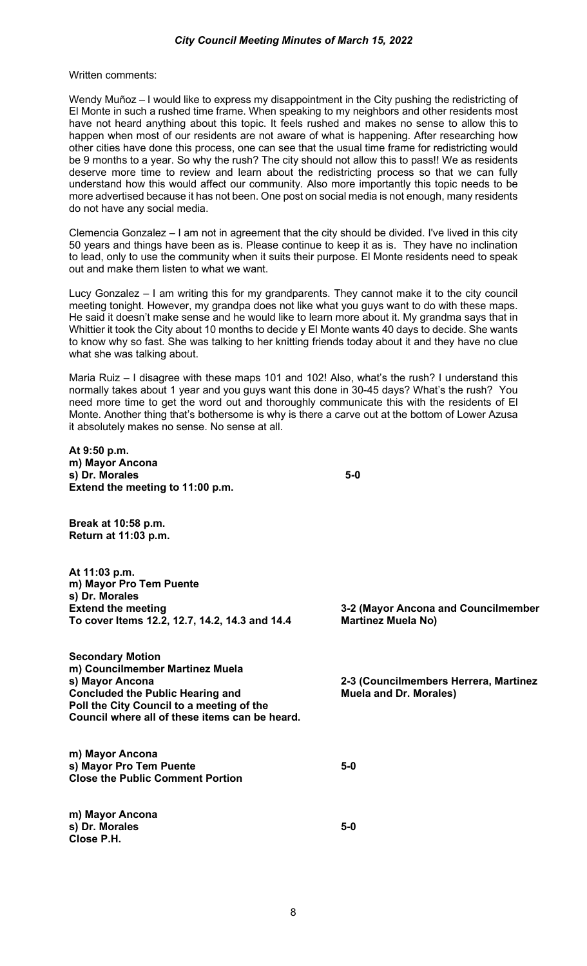Written comments:

Wendy Muñoz – I would like to express my disappointment in the City pushing the redistricting of El Monte in such a rushed time frame. When speaking to my neighbors and other residents most have not heard anything about this topic. It feels rushed and makes no sense to allow this to happen when most of our residents are not aware of what is happening. After researching how other cities have done this process, one can see that the usual time frame for redistricting would be 9 months to a year. So why the rush? The city should not allow this to pass!! We as residents deserve more time to review and learn about the redistricting process so that we can fully understand how this would affect our community. Also more importantly this topic needs to be more advertised because it has not been. One post on social media is not enough, many residents do not have any social media.

Clemencia Gonzalez – I am not in agreement that the city should be divided. I've lived in this city 50 years and things have been as is. Please continue to keep it as is. They have no inclination to lead, only to use the community when it suits their purpose. El Monte residents need to speak out and make them listen to what we want.

Lucy Gonzalez – I am writing this for my grandparents. They cannot make it to the city council meeting tonight. However, my grandpa does not like what you guys want to do with these maps. He said it doesn't make sense and he would like to learn more about it. My grandma says that in Whittier it took the City about 10 months to decide y El Monte wants 40 days to decide. She wants to know why so fast. She was talking to her knitting friends today about it and they have no clue what she was talking about.

Maria Ruiz – I disagree with these maps 101 and 102! Also, what's the rush? I understand this normally takes about 1 year and you guys want this done in 30-45 days? What's the rush? You need more time to get the word out and thoroughly communicate this with the residents of El Monte. Another thing that's bothersome is why is there a carve out at the bottom of Lower Azusa it absolutely makes no sense. No sense at all.

**At 9:50 p.m. m) Mayor Ancona s) Dr. Morales 5-0 Extend the meeting to 11:00 p.m.**

**Break at 10:58 p.m. Return at 11:03 p.m.**

**At 11:03 p.m. m) Mayor Pro Tem Puente s) Dr. Morales Extend the meeting 3-2 (Mayor Ancona and Councilmember** To cover Items 12.2, 12.7, 14.2, 14.3 and 14.4

**Secondary Motion m) Councilmember Martinez Muela Concluded the Public Hearing and Poll the City Council to a meeting of the Council where all of these items can be heard.** 

**m) Mayor Ancona s) Mayor Pro Tem Puente 5-0 Close the Public Comment Portion**

**m) Mayor Ancona s) Dr. Morales 5-0 Close P.H.**

**2-3 (Councilmembers Herrera, Martinez Muela and Dr. Morales)**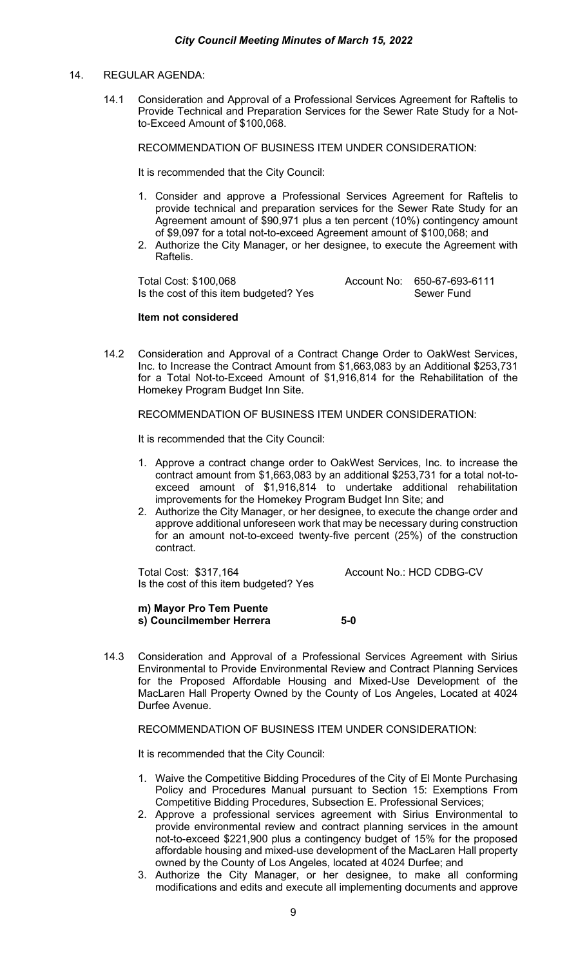## 14. REGULAR AGENDA:

14.1 Consideration and Approval of a Professional Services Agreement for Raftelis to Provide Technical and Preparation Services for the Sewer Rate Study for a Notto-Exceed Amount of \$100,068.

RECOMMENDATION OF BUSINESS ITEM UNDER CONSIDERATION:

It is recommended that the City Council:

- 1. Consider and approve a Professional Services Agreement for Raftelis to provide technical and preparation services for the Sewer Rate Study for an Agreement amount of \$90,971 plus a ten percent (10%) contingency amount of \$9,097 for a total not-to-exceed Agreement amount of \$100,068; and
- 2. Authorize the City Manager, or her designee, to execute the Agreement with Raftelis.

Total Cost: \$100,068 <br>Is the cost of this item budgeted? Yes **Account No:** 650-67-693-6111 Is the cost of this item budgeted? Yes

## **Item not considered**

14.2 Consideration and Approval of a Contract Change Order to OakWest Services, Inc. to Increase the Contract Amount from \$1,663,083 by an Additional \$253,731 for a Total Not-to-Exceed Amount of \$1,916,814 for the Rehabilitation of the Homekey Program Budget Inn Site.

RECOMMENDATION OF BUSINESS ITEM UNDER CONSIDERATION:

It is recommended that the City Council:

- 1. Approve a contract change order to OakWest Services, Inc. to increase the contract amount from \$1,663,083 by an additional \$253,731 for a total not-toexceed amount of \$1,916,814 to undertake additional rehabilitation improvements for the Homekey Program Budget Inn Site; and
- 2. Authorize the City Manager, or her designee, to execute the change order and approve additional unforeseen work that may be necessary during construction for an amount not-to-exceed twenty-five percent (25%) of the construction contract.

Total Cost: \$317,164 Account No.: HCD CDBG-CV Is the cost of this item budgeted? Yes

**m) Mayor Pro Tem Puente s) Councilmember Herrera 5-0**

14.3 Consideration and Approval of a Professional Services Agreement with Sirius Environmental to Provide Environmental Review and Contract Planning Services for the Proposed Affordable Housing and Mixed-Use Development of the MacLaren Hall Property Owned by the County of Los Angeles, Located at 4024 Durfee Avenue.

RECOMMENDATION OF BUSINESS ITEM UNDER CONSIDERATION:

It is recommended that the City Council:

- 1. Waive the Competitive Bidding Procedures of the City of El Monte Purchasing Policy and Procedures Manual pursuant to Section 15: Exemptions From Competitive Bidding Procedures, Subsection E. Professional Services;
- 2. Approve a professional services agreement with Sirius Environmental to provide environmental review and contract planning services in the amount not-to-exceed \$221,900 plus a contingency budget of 15% for the proposed affordable housing and mixed-use development of the MacLaren Hall property owned by the County of Los Angeles, located at 4024 Durfee; and
- 3. Authorize the City Manager, or her designee, to make all conforming modifications and edits and execute all implementing documents and approve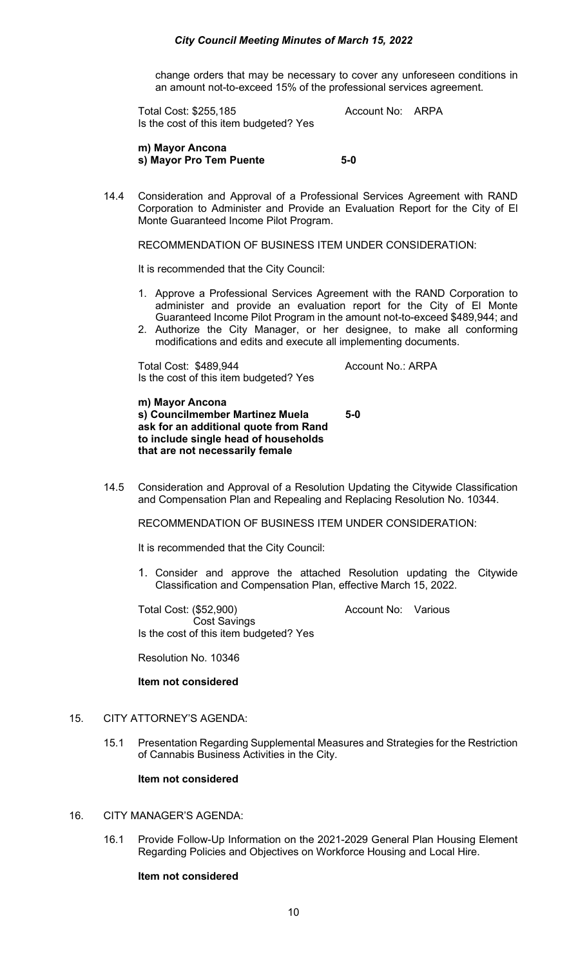## *City Council Meeting Minutes of March 15, 2022*

change orders that may be necessary to cover any unforeseen conditions in an amount not-to-exceed 15% of the professional services agreement.

Total Cost: \$255,185 Account No: ARPA Is the cost of this item budgeted? Yes

**m) Mayor Ancona s) Mayor Pro Tem Puente 5-0**

14.4 Consideration and Approval of a Professional Services Agreement with RAND Corporation to Administer and Provide an Evaluation Report for the City of El Monte Guaranteed Income Pilot Program.

RECOMMENDATION OF BUSINESS ITEM UNDER CONSIDERATION:

It is recommended that the City Council:

- 1. Approve a Professional Services Agreement with the RAND Corporation to administer and provide an evaluation report for the City of El Monte Guaranteed Income Pilot Program in the amount not-to-exceed \$489,944; and
- 2. Authorize the City Manager, or her designee, to make all conforming modifications and edits and execute all implementing documents.

Total Cost: \$489,944 Account No.: ARPA Is the cost of this item budgeted? Yes

**m) Mayor Ancona s) Councilmember Martinez Muela 5-0 ask for an additional quote from Rand to include single head of households that are not necessarily female** 

14.5 Consideration and Approval of a Resolution Updating the Citywide Classification and Compensation Plan and Repealing and Replacing Resolution No. 10344.

RECOMMENDATION OF BUSINESS ITEM UNDER CONSIDERATION:

It is recommended that the City Council:

1. Consider and approve the attached Resolution updating the Citywide Classification and Compensation Plan, effective March 15, 2022.

Total Cost: (\$52,900) Account No: Various Cost Savings Is the cost of this item budgeted? Yes

Resolution No. 10346

#### **Item not considered**

## 15. CITY ATTORNEY'S AGENDA:

15.1 Presentation Regarding Supplemental Measures and Strategies for the Restriction of Cannabis Business Activities in the City.

#### **Item not considered**

# 16. CITY MANAGER'S AGENDA:

16.1 Provide Follow-Up Information on the 2021-2029 General Plan Housing Element Regarding Policies and Objectives on Workforce Housing and Local Hire.

#### **Item not considered**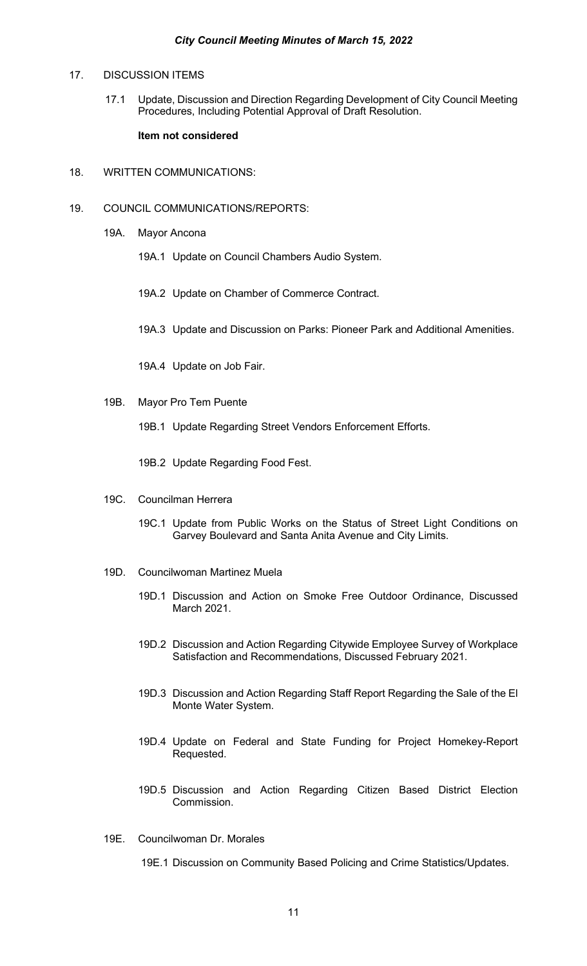## 17. DISCUSSION ITEMS

17.1 Update, Discussion and Direction Regarding Development of City Council Meeting Procedures, Including Potential Approval of Draft Resolution.

## **Item not considered**

- 18. WRITTEN COMMUNICATIONS:
- 19. COUNCIL COMMUNICATIONS/REPORTS:
	- 19A. Mayor Ancona
		- 19A.1 Update on Council Chambers Audio System.
		- 19A.2 Update on Chamber of Commerce Contract.
		- 19A.3 Update and Discussion on Parks: Pioneer Park and Additional Amenities.
		- 19A.4 Update on Job Fair.
	- 19B. Mayor Pro Tem Puente
		- 19B.1 Update Regarding Street Vendors Enforcement Efforts.
		- 19B.2 Update Regarding Food Fest.
	- 19C. Councilman Herrera
		- 19C.1 Update from Public Works on the Status of Street Light Conditions on Garvey Boulevard and Santa Anita Avenue and City Limits.
	- 19D. Councilwoman Martinez Muela
		- 19D.1 Discussion and Action on Smoke Free Outdoor Ordinance, Discussed March 2021.
		- 19D.2 Discussion and Action Regarding Citywide Employee Survey of Workplace Satisfaction and Recommendations, Discussed February 2021.
		- 19D.3 Discussion and Action Regarding Staff Report Regarding the Sale of the El Monte Water System.
		- 19D.4 Update on Federal and State Funding for Project Homekey-Report Requested.
		- 19D.5 Discussion and Action Regarding Citizen Based District Election Commission.
	- 19E. Councilwoman Dr. Morales
		- 19E.1 Discussion on Community Based Policing and Crime Statistics/Updates.